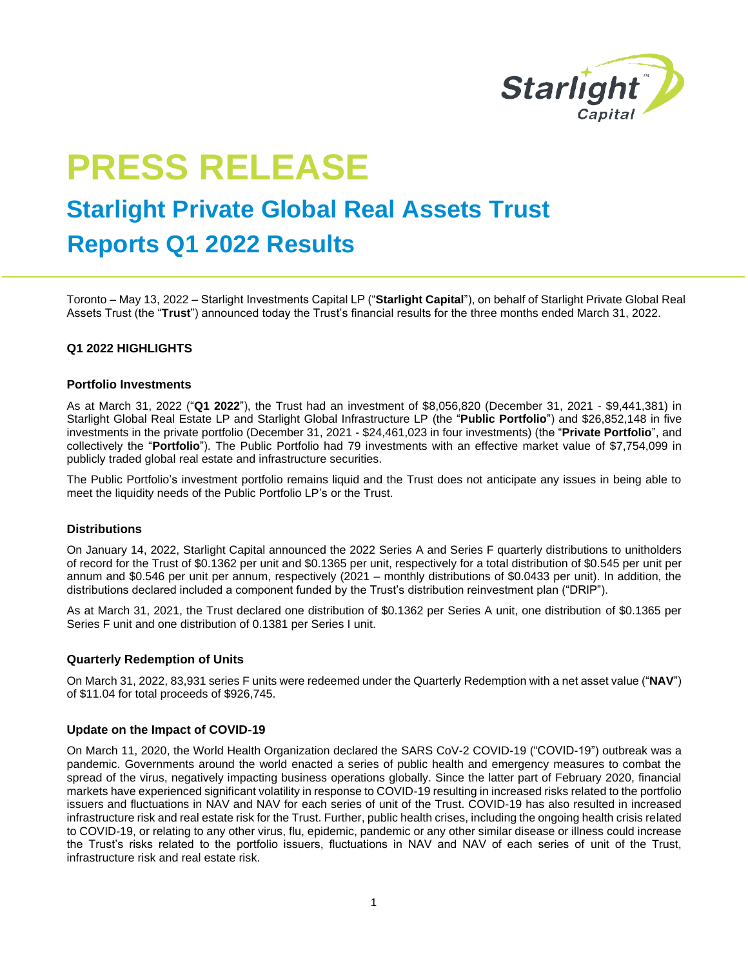

# **PRESS RELEASE**

## **Starlight Private Global Real Assets Trust**

### **Reports Q1 2022 Results**

Toronto – May 13, 2022 – Starlight Investments Capital LP ("**Starlight Capital**"), on behalf of Starlight Private Global Real Assets Trust (the "**Trust**") announced today the Trust's financial results for the three months ended March 31, 2022.

#### **Q1 2022 HIGHLIGHTS**

#### **Portfolio Investments**

As at March 31, 2022 ("**Q1 2022**"), the Trust had an investment of \$8,056,820 (December 31, 2021 - \$9,441,381) in Starlight Global Real Estate LP and Starlight Global Infrastructure LP (the "**Public Portfolio**") and \$26,852,148 in five investments in the private portfolio (December 31, 2021 - \$24,461,023 in four investments) (the "**Private Portfolio**", and collectively the "**Portfolio**"). The Public Portfolio had 79 investments with an effective market value of \$7,754,099 in publicly traded global real estate and infrastructure securities.

The Public Portfolio's investment portfolio remains liquid and the Trust does not anticipate any issues in being able to meet the liquidity needs of the Public Portfolio LP's or the Trust.

#### **Distributions**

On January 14, 2022, Starlight Capital announced the 2022 Series A and Series F quarterly distributions to unitholders of record for the Trust of \$0.1362 per unit and \$0.1365 per unit, respectively for a total distribution of \$0.545 per unit per annum and \$0.546 per unit per annum, respectively (2021 – monthly distributions of \$0.0433 per unit). In addition, the distributions declared included a component funded by the Trust's distribution reinvestment plan ("DRIP").

As at March 31, 2021, the Trust declared one distribution of \$0.1362 per Series A unit, one distribution of \$0.1365 per Series F unit and one distribution of 0.1381 per Series I unit.

#### **Quarterly Redemption of Units**

On March 31, 2022, 83,931 series F units were redeemed under the Quarterly Redemption with a net asset value ("**NAV**") of \$11.04 for total proceeds of \$926,745.

#### **Update on the Impact of COVID-19**

On March 11, 2020, the World Health Organization declared the SARS CoV-2 COVID-19 ("COVID-19") outbreak was a pandemic. Governments around the world enacted a series of public health and emergency measures to combat the spread of the virus, negatively impacting business operations globally. Since the latter part of February 2020, financial markets have experienced significant volatility in response to COVID-19 resulting in increased risks related to the portfolio issuers and fluctuations in NAV and NAV for each series of unit of the Trust. COVID-19 has also resulted in increased infrastructure risk and real estate risk for the Trust. Further, public health crises, including the ongoing health crisis related to COVID-19, or relating to any other virus, flu, epidemic, pandemic or any other similar disease or illness could increase the Trust's risks related to the portfolio issuers, fluctuations in NAV and NAV of each series of unit of the Trust, infrastructure risk and real estate risk.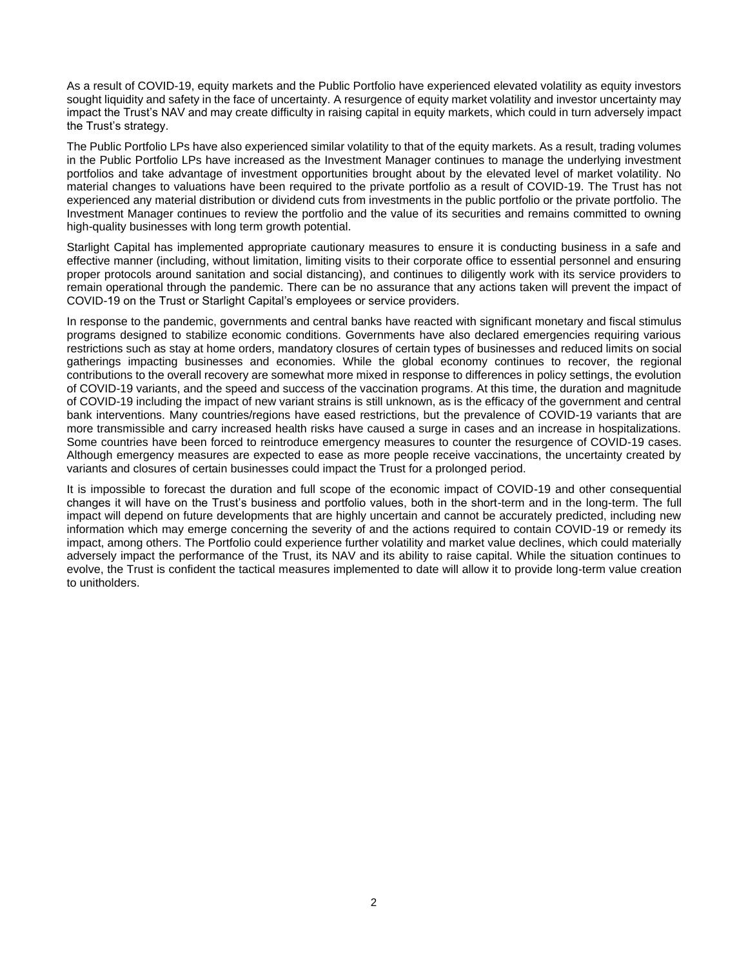As a result of COVID-19, equity markets and the Public Portfolio have experienced elevated volatility as equity investors sought liquidity and safety in the face of uncertainty. A resurgence of equity market volatility and investor uncertainty may impact the Trust's NAV and may create difficulty in raising capital in equity markets, which could in turn adversely impact the Trust's strategy.

The Public Portfolio LPs have also experienced similar volatility to that of the equity markets. As a result, trading volumes in the Public Portfolio LPs have increased as the Investment Manager continues to manage the underlying investment portfolios and take advantage of investment opportunities brought about by the elevated level of market volatility. No material changes to valuations have been required to the private portfolio as a result of COVID-19. The Trust has not experienced any material distribution or dividend cuts from investments in the public portfolio or the private portfolio. The Investment Manager continues to review the portfolio and the value of its securities and remains committed to owning high-quality businesses with long term growth potential.

Starlight Capital has implemented appropriate cautionary measures to ensure it is conducting business in a safe and effective manner (including, without limitation, limiting visits to their corporate office to essential personnel and ensuring proper protocols around sanitation and social distancing), and continues to diligently work with its service providers to remain operational through the pandemic. There can be no assurance that any actions taken will prevent the impact of COVID-19 on the Trust or Starlight Capital's employees or service providers.

In response to the pandemic, governments and central banks have reacted with significant monetary and fiscal stimulus programs designed to stabilize economic conditions. Governments have also declared emergencies requiring various restrictions such as stay at home orders, mandatory closures of certain types of businesses and reduced limits on social gatherings impacting businesses and economies. While the global economy continues to recover, the regional contributions to the overall recovery are somewhat more mixed in response to differences in policy settings, the evolution of COVID-19 variants, and the speed and success of the vaccination programs. At this time, the duration and magnitude of COVID-19 including the impact of new variant strains is still unknown, as is the efficacy of the government and central bank interventions. Many countries/regions have eased restrictions, but the prevalence of COVID-19 variants that are more transmissible and carry increased health risks have caused a surge in cases and an increase in hospitalizations. Some countries have been forced to reintroduce emergency measures to counter the resurgence of COVID-19 cases. Although emergency measures are expected to ease as more people receive vaccinations, the uncertainty created by variants and closures of certain businesses could impact the Trust for a prolonged period.

It is impossible to forecast the duration and full scope of the economic impact of COVID-19 and other consequential changes it will have on the Trust's business and portfolio values, both in the short-term and in the long-term. The full impact will depend on future developments that are highly uncertain and cannot be accurately predicted, including new information which may emerge concerning the severity of and the actions required to contain COVID-19 or remedy its impact, among others. The Portfolio could experience further volatility and market value declines, which could materially adversely impact the performance of the Trust, its NAV and its ability to raise capital. While the situation continues to evolve, the Trust is confident the tactical measures implemented to date will allow it to provide long-term value creation to unitholders.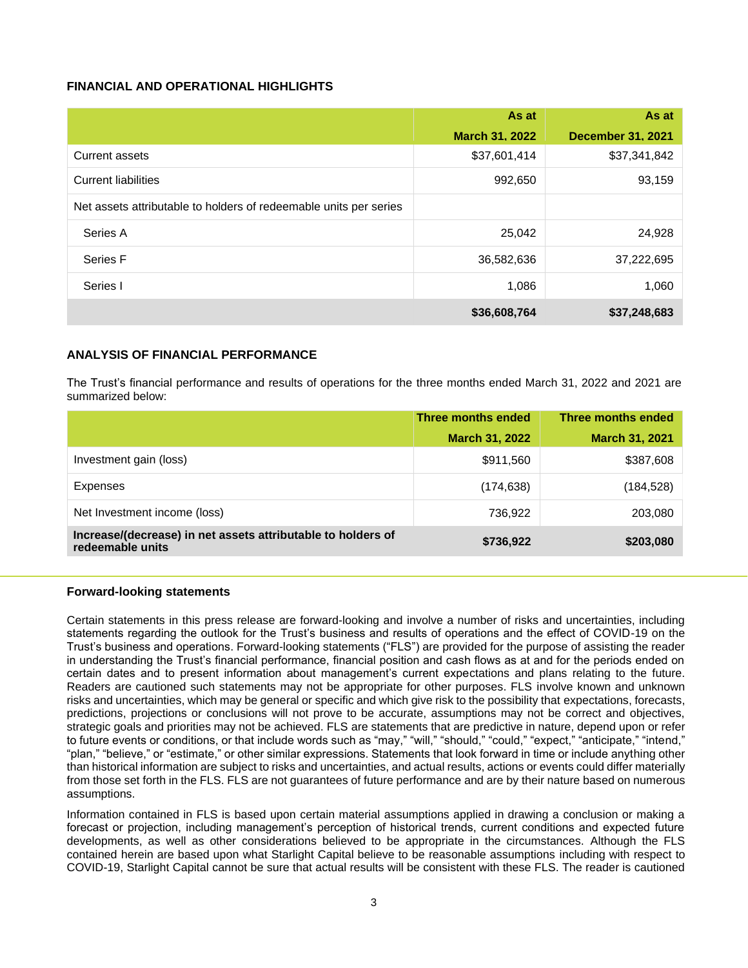#### **FINANCIAL AND OPERATIONAL HIGHLIGHTS**

|                                                                   | As at                 | As at                    |
|-------------------------------------------------------------------|-----------------------|--------------------------|
|                                                                   | <b>March 31, 2022</b> | <b>December 31, 2021</b> |
| Current assets                                                    | \$37,601,414          | \$37,341,842             |
| <b>Current liabilities</b>                                        | 992,650               | 93,159                   |
| Net assets attributable to holders of redeemable units per series |                       |                          |
| Series A                                                          | 25,042                | 24,928                   |
| Series F                                                          | 36,582,636            | 37,222,695               |
| Series I                                                          | 1,086                 | 1,060                    |
|                                                                   | \$36,608,764          | \$37,248,683             |

#### **ANALYSIS OF FINANCIAL PERFORMANCE**

The Trust's financial performance and results of operations for the three months ended March 31, 2022 and 2021 are summarized below:

|                                                                                  | Three months ended    | Three months ended    |
|----------------------------------------------------------------------------------|-----------------------|-----------------------|
|                                                                                  | <b>March 31, 2022</b> | <b>March 31, 2021</b> |
| Investment gain (loss)                                                           | \$911,560             | \$387,608             |
| Expenses                                                                         | (174, 638)            | (184, 528)            |
| Net Investment income (loss)                                                     | 736,922               | 203,080               |
| Increase/(decrease) in net assets attributable to holders of<br>redeemable units | \$736,922             | \$203,080             |

#### **Forward-looking statements**

Certain statements in this press release are forward-looking and involve a number of risks and uncertainties, including statements regarding the outlook for the Trust's business and results of operations and the effect of COVID-19 on the Trust's business and operations. Forward-looking statements ("FLS") are provided for the purpose of assisting the reader in understanding the Trust's financial performance, financial position and cash flows as at and for the periods ended on certain dates and to present information about management's current expectations and plans relating to the future. Readers are cautioned such statements may not be appropriate for other purposes. FLS involve known and unknown risks and uncertainties, which may be general or specific and which give risk to the possibility that expectations, forecasts, predictions, projections or conclusions will not prove to be accurate, assumptions may not be correct and objectives, strategic goals and priorities may not be achieved. FLS are statements that are predictive in nature, depend upon or refer to future events or conditions, or that include words such as "may," "will," "should," "could," "expect," "anticipate," "intend," "plan," "believe," or "estimate," or other similar expressions. Statements that look forward in time or include anything other than historical information are subject to risks and uncertainties, and actual results, actions or events could differ materially from those set forth in the FLS. FLS are not guarantees of future performance and are by their nature based on numerous assumptions.

Information contained in FLS is based upon certain material assumptions applied in drawing a conclusion or making a forecast or projection, including management's perception of historical trends, current conditions and expected future developments, as well as other considerations believed to be appropriate in the circumstances. Although the FLS contained herein are based upon what Starlight Capital believe to be reasonable assumptions including with respect to COVID-19, Starlight Capital cannot be sure that actual results will be consistent with these FLS. The reader is cautioned